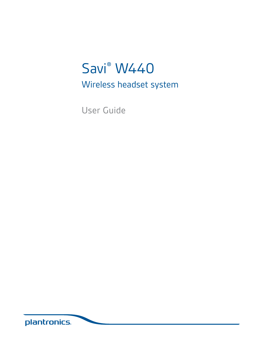# Savi<sup>®</sup> W440

Wireless headset system

User Guide

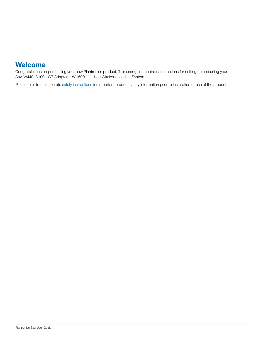## **Welcome**

Congratulations on purchasing your new Plantronics product. This user guide contains instructions for setting up and using your Savi W440 (D100 USB Adapter + WH500 Headset) Wireless Headset System.

Please refer to the separate safety instructions for important product safety information prior to installation or use of the product.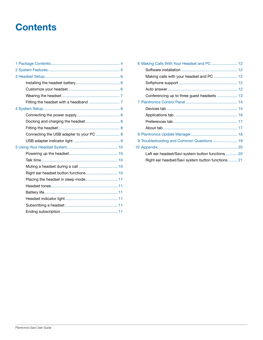## **Contents**

| Connecting the USB adapter to your PC  8 |  |
|------------------------------------------|--|
|                                          |  |
|                                          |  |
|                                          |  |
|                                          |  |
|                                          |  |
|                                          |  |
| Placing the headset in sleep mode 11     |  |
|                                          |  |
|                                          |  |
|                                          |  |
|                                          |  |
|                                          |  |
|                                          |  |

| 6 Making Calls With Your Headset and PC  12       |
|---------------------------------------------------|
|                                                   |
|                                                   |
|                                                   |
|                                                   |
|                                                   |
|                                                   |
|                                                   |
|                                                   |
|                                                   |
|                                                   |
|                                                   |
| 9 Troubleshooting and Common Questions 19         |
|                                                   |
| Left ear headset/Savi system button functions 20  |
| Right ear headset/Savi system button functions 21 |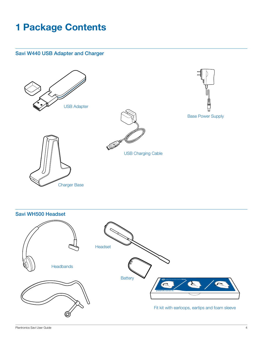## **1 Package Contents**

### Savi W440 USB Adapter and Charger



Savi WH500 Headset

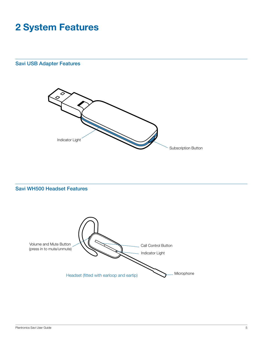## **2 System Features**

## Savi USB Adapter Features



#### Savi WH500 Headset Features

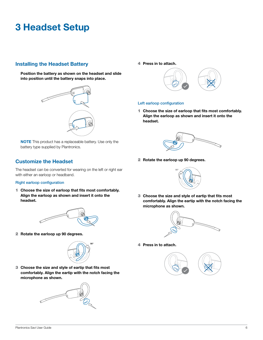## **3 Headset Setup**

### **Installing the Headset Battery**

**Position the battery as shown on the headset and slide into position until the battery snaps into place.**



**NOTE** This product has a replaceable battery. Use only the battery type supplied by Plantronics.

## **Customize the Headset**

The headset can be converted for wearing on the left or right ear with either an earloop or headband.

#### Right earloop configuration

1 **Choose the size of earloop that fits most comfortably. Align the earloop as shown and insert it onto the headset.** 



2 **Rotate the earloop up 90 degrees.**



3 **Choose the size and style of eartip that fits most comfortably. Align the eartip with the notch facing the microphone as shown.** 



4 **Press in to attach.** 



#### Left earloop configuration

1 **Choose the size of earloop that fits most comfortably. Align the earloop as shown and insert it onto the headset.** 



2 **Rotate the earloop up 90 degrees.**



3 **Choose the size and style of eartip that fits most comfortably. Align the eartip with the notch facing the microphone as shown.** 



4 **Press in to attach.** 

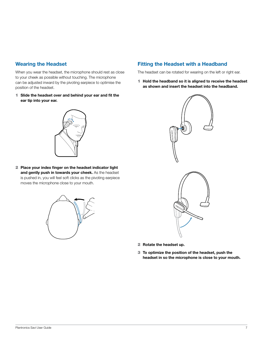### **Wearing the Headset**

When you wear the headset, the microphone should rest as close to your cheek as possible without touching. The microphone can be adjusted inward by the pivoting earpiece to optimise the position of the headset.

1 **Slide the headset over and behind your ear and fit the ear tip into your ear.**



2 **Place your index finger on the headset indicator light and gently push in towards your cheek.** As the headset is pushed in, you will feel soft clicks as the pivoting earpiece moves the microphone close to your mouth.



### **Fitting the Headset with a Headband**

The headset can be rotated for wearing on the left or right ear.

1 **Hold the headband so it is aligned to receive the headset as shown and insert the headset into the headband.**



- 2 **Rotate the headset up.**
- 3 **To optimize the position of the headset, push the headset in so the microphone is close to your mouth.**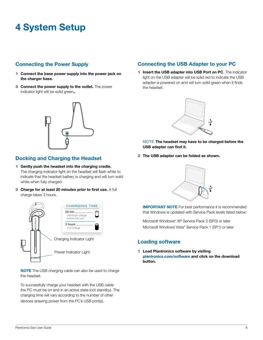## **4 System Setup**

## **Connecting the Power Supply**

- 1 **Connect the base power supply into the power jack on the charger base.**
- 2 **Connect the power supply to the outlet.** The power indicator light will be solid green**..**



## **Docking and Charging the Headset**

- 1 **Gently push the headset into the charging cradle.**  The charging indicator light on the headset will flash white to indicate that the headset battery is charging and will turn solid white when fully charged.
- 2 **Charge for at least 20 minutes prior to first use.** A full charge takes 3 hours.



**NOTE** The USB charging cable can also be used to charge the headset.

To successfully charge your headset with the USB cable the PC must be on and in an active state (not standby). The charging time will vary according to the number of other devices drawing power from the PC's USB port(s).

## **Connecting the USB Adapter to your PC**

1 **Insert the USB adapter into USB Port on PC**. The indicator light on the USB adapter will be solid red to indicate the USB adapter is powered on and will turn solid green when it finds the headset.



- **NOTE The headset may have to be charged before the USB adapter can find it.**
- 2 **The USB adapter can be folded as shown.**



**IMPORTANT NOTE** For best performance it is recommended that Windows is updated with Service Pack levels listed below:

Microsoft Windows® XP Service Pack 3 (SP3) or later Microsoft Windows Vista® Service Pack 1 (SP1) or later

#### **Loading software**

1 **Load Plantronics software by visiting plantronics.com/software and click on the download button.**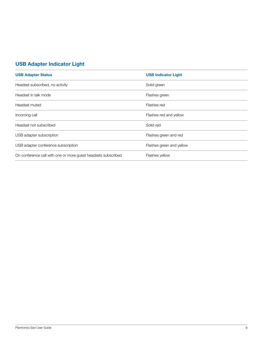## **USB Adapter Indicator Light**

| <b>USB Adapter Status</b>                                     | <b>USB Indicator Light</b> |
|---------------------------------------------------------------|----------------------------|
| Headset subscribed, no activity                               | Solid green                |
| Headset in talk mode                                          | Flashes green              |
| Headset muted                                                 | Flashes red                |
| Incoming call                                                 | Flashes red and yellow     |
| Headset not subscribed                                        | Solid red                  |
| USB adapter subscription                                      | Flashes green and red      |
| USB adapter conference subscription                           | Flashes green and yellow   |
| On conference call with one or more guest headsets subscribed | Flashes yellow             |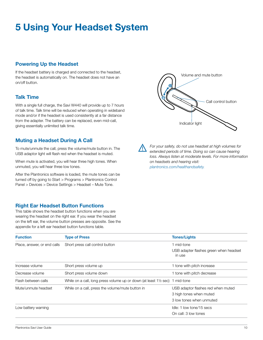## **5 Using Your Headset System**

#### **Powering Up the Headset**

If the headset battery is charged and connected to the headset, the headset is automatically on. The headset does not have an on/off button.

#### **Talk Time**

With a single full charge, the Savi W440 will provide up to 7 hours of talk time. Talk time will be reduced when operating in wideband mode and/or if the headset is used consistently at a far distance from the adapter. The battery can be replaced, even mid-call, giving essentially unlimited talk time.

#### **Muting a Headset During A Call**

To mute/unmute the call, press the volume/mute button in. The USB adaptor light will flash red when the headset is muted.

When mute is activated, you will hear three high tones. When unmuted, you will hear three low tones.

After the Plantronics software is loaded, the mute tones can be turned off by going to Start > Programs > Plantronics Control Panel > Devices > Device Settings > Headset – Mute Tone.

#### **Right Ear Headset Button Functions**

This table shows the headset button functions when you are wearing the headset on the right ear. If you wear the headset on the left ear, the volume button presses are opposite. See the appendix for a left ear headset button functions table.



*For your safety, do not use headset at high volumes for extended periods of time. Doing so can cause hearing loss. Always listen at moderate levels. For more information on headsets and hearing visit: plantronics.com/healthandsafety.*

| <b>Function</b>             | <b>Type of Press</b>                                                                   | <b>Tones/Lights</b>                              |
|-----------------------------|----------------------------------------------------------------------------------------|--------------------------------------------------|
| Place, answer, or end calls | Short press call control button                                                        | 1 mid-tone                                       |
|                             |                                                                                        | USB adapter flashes green when headset<br>in use |
| Increase volume             | Short press volume up                                                                  | 1 tone with pitch increase                       |
| Decrease volume             | Short press volume down                                                                | 1 tone with pitch decrease                       |
| Flash between calls         | While on a call, long press volume up or down (at least $1\frac{1}{2}$ sec) 1 mid-tone |                                                  |
| Mute/unmute headset         | While on a call, press the volume/mute button in                                       | USB adaptor flashes red when muted               |
|                             |                                                                                        | 3 high tones when muted                          |
|                             |                                                                                        | 3 low tones when unmuted                         |
| Low battery warning         |                                                                                        | Idle: 1 low tone/15 secs                         |
|                             |                                                                                        | On call: 3 low tones                             |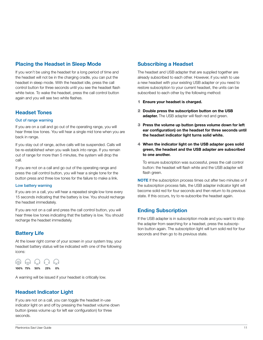### **Placing the Headset in Sleep Mode**

If you won't be using the headset for a long period of time and the headset will not be in the charging cradle, you can put the headset in sleep mode. With the headset idle, press the call control button for three seconds until you see the headset flash white twice. To wake the headset, press the call control button again and you will see two white flashes.

#### **Headset Tones**

#### Out of range warning

If you are on a call and go out of the operating range, you will hear three low tones. You will hear a single mid tone when you are back in range.

If you stay out of range, active calls will be suspended. Calls will be re-established when you walk back into range. If you remain out of range for more than 5 minutes, the system will drop the call.

If you are not on a call and go out of the operating range and press the call control button, you will hear a single tone for the button press and three low tones for the failure to make a link.

#### Low battery warning

If you are on a call, you will hear a repeated single low tone every 15 seconds indicating that the battery is low. You should recharge the headset immediately.

If you are not on a call and press the call control button, you will hear three low tones indicating that the battery is low. You should recharge the headset immediately.

## **Battery Life**

At the lower right corner of your screen in your system tray, your headset battery status will be indicated with one of the following icons:



A warning will be issued if your headset is critically low.

## **Headset Indicator Light**

If you are not on a call, you can toggle the headset in-use indicator light on and off by pressing the headset volume down button (press volume up for left ear configuration) for three seconds.

### **Subscribing a Headset**

The headset and USB adapter that are supplied together are already subscribed to each other. However, if you wish to use a new headset with your existing USB adapter or you need to restore subscription to your current headset, the units can be subscribed to each other by the following method:

- 1 **Ensure your headset is charged.**
- 2 **Double press the subscription button on the USB adapter.** The USB adapter will flash red and green.
- 3 **Press the volume up button (press volume down for left ear configuration) on the headset for three seconds until the headset indicator light turns solid white.**
- 4 **When the indicator light on the USB adapter goes solid green, the headset and the USB adapter are subscribed to one another.**

To ensure subscription was successful, press the call control button: the headset will flash white and the USB adapter will flash green.

**NOTE** If the subscription process times out after two minutes or if the subscription process fails, the USB adapter indicator light will become solid red for four seconds and then return to its previous state. If this occurs, try to re-subscribe the headset again.

## **Ending Subscription**

If the USB adapter is in subscription mode and you want to stop the adapter from searching for a headset, press the subscription button again. The subscription light will turn solid red for four seconds and then go to its previous state.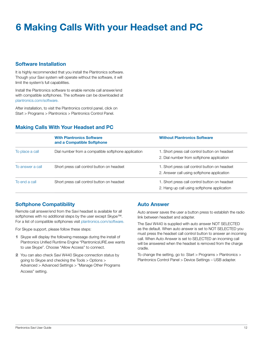## **6 Making Calls With your Headset and PC**

#### **Software Installation**

It is highly recommended that you install the Plantronics software. Though your Savi system will operate without the software, it will limit the system's full capabilities.

Install the Plantronics software to enable remote call answer/end with compatible softphones. The software can be downloaded at plantronics.com/software.

After installation, to visit the Plantronics control panel, click on Start > Programs > Plantronics > Plantronics Control Panel.

## **Making Calls With Your Headset and PC**

|                  | <b>With Plantronics Software</b><br>and a Compatible Softphone | <b>Without Plantronics Software</b>                                                          |
|------------------|----------------------------------------------------------------|----------------------------------------------------------------------------------------------|
| To place a call  | Dial number from a compatible softphone application            | 1. Short press call control button on headset<br>2. Dial number from softphone application   |
| To answer a call | Short press call control button on headset                     | 1. Short press call control button on headset<br>2. Answer call using softphone application  |
| To end a call    | Short press call control button on headset                     | 1. Short press call control button on headset<br>2. Hang up call using softphone application |

## **Softphone Compatibility**

Remote call answer/end from the Savi headset is available for all softphones with no additional steps by the user except Skype™. For a list of compatible softphones visit plantronics.com/software.

For Skype support, please follow these steps:

- 1 Skype will display the following message during the install of Plantronics Unified Runtime Engine "PlantronicsURE.exe wants to use Skype". Choose "Allow Access" to connect.
- 2 You can also check Savi W440 Skype connection status by going to Skype and checking the Tools > Options > Advanced > Advanced Settings > "Manage Other Programs Access" setting.

#### **Auto Answer**

Auto answer saves the user a button press to establish the radio link between headset and adapter.

The Savi W440 is supplied with auto answer NOT SELECTED as the default. When auto answer is set to NOT SELECTED you must press the headset call control button to answer an incoming call. When Auto Answer is set to SELECTED an incoming call will be answered when the headset is removed from the charge cradle.

To change the setting, go to: Start > Programs > Plantronics > Plantronics Control Panel > Device Settings – USB adapter.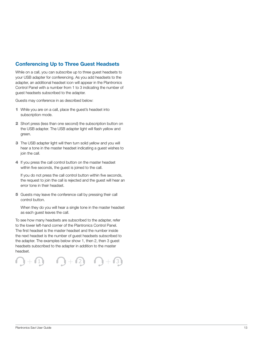### **Conferencing Up to Three Guest Headsets**

While on a call, you can subscribe up to three guest headsets to your USB adapter for conferencing. As you add headsets to the adapter, an additional headset icon will appear in the Plantronics Control Panel with a number from 1 to 3 indicating the number of guest headsets subscribed to the adapter.

Guests may conference in as described below:

- 1 While you are on a call, place the guest's headset into subscription mode.
- 2 Short press (less than one second) the subscription button on the USB adapter. The USB adapter light will flash yellow and green.
- **3** The USB adapter light will then turn solid yellow and you will hear a tone in the master headset indicating a guest wishes to join the call.
- 4 If you press the call control button on the master headset within five seconds, the guest is joined to the call.

If you do not press the call control button within five seconds, the request to join the call is rejected and the guest will hear an error tone in their headset.

5 Guests may leave the conference call by pressing their call control button.

When they do you will hear a single tone in the master headset as each guest leaves the call.

To see how many headsets are subscribed to the adapter, refer to the lower left-hand corner of the Plantronics Control Panel. The first headset is the master headset and the number inside the next headset is the number of guest headsets subscribed to the adapter. The examples below show 1, then 2, then 3 guest headsets subscribed to the adapter in addition to the master headset.

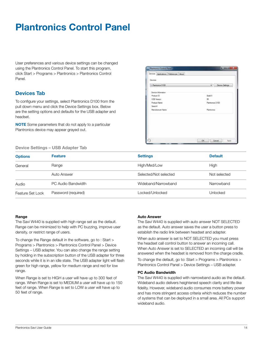## **Plantronics Control Panel**

User preferences and various device settings can be changed using the Plantronics Control Panel. To start this program, click Start > Programs > Plantronics > Plantronics Control Panel.

### **Devices Tab**

To configure your settings, select Plantronics D100 from the pull down menu and click the Device Settings box. Below are the setting options and defaults for the USB adapter and headset.

**NOTE** Some parameters that do not apply to a particular Plantronics device may appear grayed out.

| Device Information |                  |
|--------------------|------------------|
|                    |                  |
| Product (D)        | - Bublit         |
| USB Version        | 35               |
| Froduct Name       | Plantranics D100 |
| Send II            |                  |
| Manufacturer Name  | Plantronics      |
|                    |                  |

**Device Settings – USB Adapter Tab**

| <b>Options</b>   | <b>Feature</b>      | <b>Settings</b>       | <b>Default</b> |
|------------------|---------------------|-----------------------|----------------|
| General          | Range               | High/Med/Low          | High           |
|                  | Auto Answer         | Selected/Not selected | Not selected   |
| Audio            | PC Audio Bandwidth  | Wideband/Narrowband   | Narrowband     |
| Feature Set Lock | Password (required) | Locked/Unlocked       | Unlocked       |

#### **Range**

The Savi W440 is supplied with high range set as the default. Range can be minimized to help with PC buzzing, improve user density, or restrict range of users.

To change the Range default in the software, go to : Start > Programs > Plantronics > Plantronics Control Panel > Device Settings – USB adapter. You can also change the range setting by holding in the subscription button of the USB adapter for three seconds while it is in an idle state. The USB adapter light will flash green for high range, yellow for medium range and red for low range.

When Range is set to HIGH a user will have up to 300 feet of range. When Range is set to MEDIUM a user will have up to 150 feet of range. When Range is set to LOW a user will have up to 50 feet of range.

#### **Auto Answer**

The Savi W440 is supplied with auto answer NOT SELECTED as the default. Auto answer saves the user a button press to establish the radio link between headset and adapter.

When auto answer is set to NOT SELECTED you must press the headset call control button to answer an incoming call. When Auto Answer is set to SELECTED an incoming call will be answered when the headset is removed from the charge cradle.

To change the default, go to: Start > Programs > Plantronics > Plantronics Control Panel > Device Settings – USB adapter.

#### **PC Audio Bandwidth**

The Savi W440 is supplied with narrowband audio as the default. Wideband audio delivers heightened speech clarity and life-like fidelity. However, wideband audio consumes more battery power and has more stringent access criteria which reduces the number of systems that can be deployed in a small area. All PCs support wideband audio.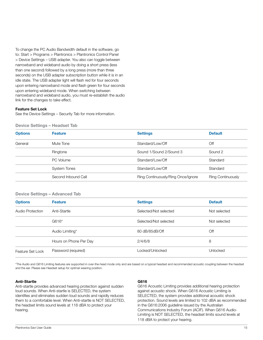To change the PC Audio Bandwidth default in the software, go to: Start > Programs > Plantronics > Plantronics Control Panel > Device Settings – USB adapter. You also can toggle between narrowband and wideband audio by doing a short press (less than one second) followed by a long press (more than three seconds) on the USB adapter subscription button while it is in an idle state. The USB adapter light will flash red for four seconds upon entering narrowband mode and flash green for four seconds upon entering wideband mode. When switching between narrowband and wideband audio, you must re-establish the audio link for the changes to take effect.

#### **Feature Set Lock**

See the Device Settings – Security Tab for more information.

**Device Settings – Headset Tab**

| <b>Options</b> | <b>Feature</b>      | <b>Settings</b>                    | <b>Default</b>           |
|----------------|---------------------|------------------------------------|--------------------------|
| General        | Mute Tone           | Standard/Low/Off                   | Off                      |
|                | Ringtone            | Sound 1/Sound 2/Sound 3            | Sound 2                  |
|                | PC Volume           | Standard/Low/Off                   | Standard                 |
|                | <b>System Tones</b> | Standard/Low/Off                   | Standard                 |
|                | Second Inbound Call | Ring Continuously/Ring Once/Ignore | <b>Ring Continuously</b> |

#### **Device Settings – Advanced Tab**

| <b>Options</b>   | <b>Feature</b>         | <b>Settings</b>       | <b>Default</b> |
|------------------|------------------------|-----------------------|----------------|
| Audio Protection | Anti-Startle           | Selected/Not selected | Not selected   |
|                  | G616*                  | Selected/Not selected | Not selected   |
|                  | Audio Limiting*        | 80 dB/85dB/Off        | Off            |
|                  | Hours on Phone Per Day | 2/4/6/8               | 8              |
| Feature Set Lock | Password (required)    | Locked/Unlocked       | Unlocked       |

\*The Audio and G616 Limiting features are supported in over-the-head mode only and are based on a typical headset and recommended acoustic coupling between the headset and the ear. Please see Headset setup for optimal wearing position.

#### **Anti-Startle**

Anti-startle provides advanced hearing protection against sudden loud sounds. When Anti-startle is SELECTED, the system identifies and eliminates sudden loud sounds and rapidly reduces them to a comfortable level. When Anti-startle is NOT SELECTED, the headset limits sound levels at 118 dBA to protect your hearing.

#### **G616**

G616 Acoustic Limiting provides additional hearing protection against acoustic shock. When G616 Acoustic Limiting is SELECTED, the system provides additional acoustic shock protection. Sound levels are limited to 102 dBA as recommended in the G616:2006 guideline issued by the Australian Communications Industry Forum (ACIF). When G616 Audio-Limiting is NOT SELECTED, the headset limits sound levels at 118 dBA to protect your hearing.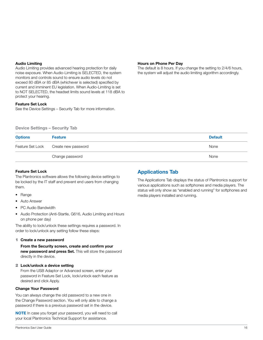#### **Audio Limiting**

Audio Limiting provides advanced hearing protection for daily noise exposure. When Audio-Limiting is SELECTED, the system monitors and controls sound to ensure audio levels do not exceed 80 dBA or 85 dBA (whichever is selected) specified by current and imminent EU legislation. When Audio-Limiting is set to NOT SELECTED, the headset limits sound levels at 118 dBA to protect your hearing.

#### **Feature Set Lock**

See the Device Settings – Security Tab for more information.

#### **Hours on Phone Per Day**

The default is 8 hours. If you change the setting to 2/4/6 hours, the system will adjust the audio limiting algorithm accordingly.

|  | <b>Device Settings - Security Tab</b> |  |  |  |
|--|---------------------------------------|--|--|--|
|--|---------------------------------------|--|--|--|

| <b>Options</b> | <b>Feature</b>                       | <b>Default</b> |
|----------------|--------------------------------------|----------------|
|                | Feature Set Lock Create new password | None           |
|                | Change password                      | None           |

#### **Feature Set Lock**

The Plantronics software allows the following device settings to be locked by the IT staff and prevent end users from changing them.

- Range
- Auto Answer
- PC Audio Bandwidth
- Audio Protection (Anti-Startle, G616, Audio Limiting and Hours on phone per day)

The ability to lock/unlock these settings requires a password. In order to lock/unlock any setting follow these steps:

#### 1 **Create a new password**

**From the Security screen, create and confirm your new password and press Set.** This will store the password directly in the device.

#### 2 **Lock/unlock a device setting**

From the USB Adaptor or Advanced screen, enter your password in Feature Set Lock, lock/unlock each feature as desired and click Apply.

#### **Change Your Password**

You can always change the old password to a new one in the Change Password section. You will only able to change a password if there is a previous password set in the device.

**NOTE** In case you forget your password, you will need to call your local Plantronics Technical Support for assistance.

## **Applications Tab**

The Applications Tab displays the status of Plantronics support for various applications such as softphones and media players. The status will only show as "enabled and running" for softphones and media players installed and running.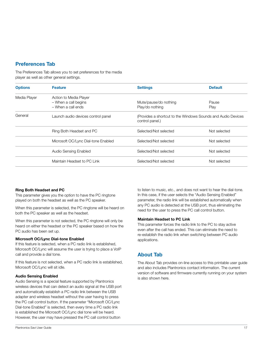#### **Preferences Tab**

The Preferences Tab allows you to set preferences for the media player as well as other general settings.

| <b>Options</b> | <b>Feature</b>                      | <b>Settings</b>                                                                  | <b>Default</b> |
|----------------|-------------------------------------|----------------------------------------------------------------------------------|----------------|
| Media Player   | Action to Media Player              |                                                                                  |                |
|                | - When a call begins                | Mute/pause/do nothing                                                            | Pause          |
|                | - When a call ends                  | Play/do nothing                                                                  | Play           |
| General        | Launch audio devices control panel  | (Provides a shortcut to the Windows Sounds and Audio Devices)<br>control panel.) |                |
|                | Ring Both Headset and PC            | Selected/Not selected                                                            | Not selected   |
|                | Microsoft OC/Lync Dial-tone Enabled | Selected/Not selected                                                            | Not selected   |
|                | Audio Sensing Enabled               | Selected/Not selected                                                            | Not selected   |
|                | Maintain Headset to PC Link         | Selected/Not selected                                                            | Not selected   |

#### **Ring Both Headset and PC**

This parameter gives you the option to have the PC ringtone played on both the headset as well as the PC speaker.

When this parameter is selected, the PC ringtone will be heard on both the PC speaker as well as the headset.

When this parameter is not selected, the PC ringtone will only be heard on either the headset or the PC speaker based on how the PC audio has been set up.

#### **Microsoft OC/Lync Dial-tone Enabled**

If this feature is selected, when a PC radio link is established, Microsoft OC/Lync will assume the user is trying to place a VoIP call and provide a dial tone.

If this feature is not selected, when a PC radio link is established, Microsoft OC/Lync will sit idle.

#### **Audio Sensing Enabled**

Audio Sensing is a special feature supported by Plantronics wireless devices that can detect an audio signal at the USB port and automatically establish a PC radio link between the USB adapter and wireless headset without the user having to press the PC call control button. If the parameter "Microsoft OC/Lync Dial-tone Enabled" is selected, then every time a PC radio link is established the Microsoft OC/Lync dial tone will be heard. However, the user may have pressed the PC call control button

to listen to music, etc., and does not want to hear the dial-tone. In this case, if the user selects the "Audio Sensing Enabled" parameter, the radio link will be established automatically when any PC audio is detected at the USB port, thus eliminating the need for the user to press the PC call control button.

#### **Maintain Headset to PC Link**

This parameter forces the radio link to the PC to stay active even after the call has ended. This can eliminate the need to re-establish the radio link when switching between PC audio applications.

## **About Tab**

The About Tab provides on-line access to this printable user guide and also includes Plantronics contact information. The current version of software and firmware currently running on your system is also shown here.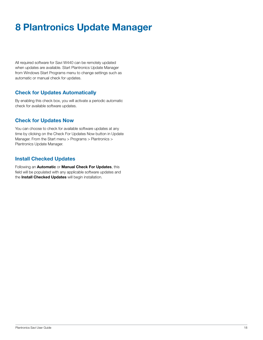## **8 Plantronics Update Manager**

All required software for Savi W440 can be remotely updated when updates are available. Start Plantronics Update Manager from Windows Start Programs menu to change settings such as automatic or manual check for updates.

### **Check for Updates Automatically**

By enabling this check box, you will activate a periodic automatic check for available software updates.

### **Check for Updates Now**

You can choose to check for available software updates at any time by clicking on the Check For Updates Now button in Update Manager. From the Start menu > Programs > Plantronics > Plantronics Update Manager.

#### **Install Checked Updates**

Following an **Automatic** or **Manual Check For Updates**, this field will be populated with any applicable software updates and the **Install Checked Updates** will begin installation.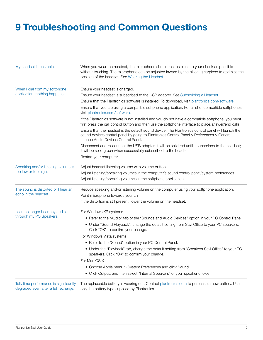## **9 Troubleshooting and Common Questions**

| My headset is unstable.                                                        | When you wear the headset, the microphone should rest as close to your cheek as possible<br>without touching. The microphone can be adjusted inward by the pivoting earpiece to optimise the<br>position of the headset. See Wearing the Headset. |
|--------------------------------------------------------------------------------|---------------------------------------------------------------------------------------------------------------------------------------------------------------------------------------------------------------------------------------------------|
| When I dial from my softphone<br>application, nothing happens.                 | Ensure your headset is charged.                                                                                                                                                                                                                   |
|                                                                                | Ensure your headset is subscribed to the USB adapter. See Subscribing a Headset.                                                                                                                                                                  |
|                                                                                | Ensure that the Plantronics software is installed. To download, visit plantronics.com/software.                                                                                                                                                   |
|                                                                                | Ensure that you are using a compatible softphone application. For a list of compatible softphones,<br>visit plantronics.com/software.                                                                                                             |
|                                                                                | If the Plantronics software is not installed and you do not have a compatible softphone, you must<br>first press the call control button and then use the softphone interface to place/answer/end calls.                                          |
|                                                                                | Ensure that the headset is the default sound device. The Plantronics control panel will launch the<br>sound devices control panel by going to Plantronics Control Panel > Preferences > General -<br>Launch Audio Devices Control Panel.          |
|                                                                                | Disconnect and re-connect the USB adapter. It will be solid red until it subscribes to the headset;<br>it will be solid green when successfully subscribed to the headset.                                                                        |
|                                                                                | Restart your computer.                                                                                                                                                                                                                            |
| Speaking and/or listening volume is                                            | Adjust headset listening volume with volume button.                                                                                                                                                                                               |
| too low or too high.                                                           | Adjust listening/speaking volumes in the computer's sound control panel/system preferences.                                                                                                                                                       |
|                                                                                | Adjust listening/speaking volumes in the softphone application.                                                                                                                                                                                   |
| The sound is distorted or I hear an                                            | Reduce speaking and/or listening volume on the computer using your softphone application.                                                                                                                                                         |
| echo in the headset.                                                           | Point microphone towards your chin.                                                                                                                                                                                                               |
|                                                                                | If the distortion is still present, lower the volume on the headset.                                                                                                                                                                              |
| I can no longer hear any audio                                                 | For Windows XP systems                                                                                                                                                                                                                            |
| through my PC Speakers.                                                        | • Refer to the "Audio" tab of the "Sounds and Audio Devices" option in your PC Control Panel.                                                                                                                                                     |
|                                                                                | • Under "Sound Playback", change the default setting from Savi Office to your PC speakers.<br>Click "OK" to confirm your change.                                                                                                                  |
|                                                                                | For Windows Vista systems                                                                                                                                                                                                                         |
|                                                                                | • Refer to the "Sound" option in your PC Control Panel.                                                                                                                                                                                           |
|                                                                                | • Under the "Playback" tab, change the default setting from "Speakers Savi Office" to your PC<br>speakers. Click "OK" to confirm your change.                                                                                                     |
|                                                                                | For Mac OS X                                                                                                                                                                                                                                      |
|                                                                                | • Choose Apple menu > System Preferences and click Sound.                                                                                                                                                                                         |
|                                                                                | • Click Output, and then select "Internal Speakers" or your speaker choice.                                                                                                                                                                       |
| Talk time performance is significantly<br>degraded even after a full recharge. | The replaceable battery is wearing out. Contact plantronics.com to purchase a new battery. Use<br>only the battery type supplied by Plantronics.                                                                                                  |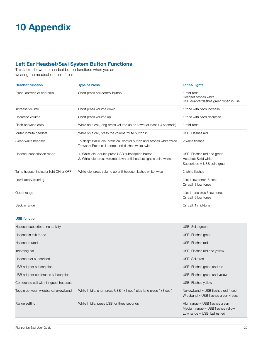## **10 Appendix**

## **Left Ear Headset/Savi System Button Functions**

This table shows the headset button functions when you are wearing the headset on the left ear.

| <b>Headset function</b>                 | <b>Type of Press</b>                                                                                                               | <b>Tones/Lights</b>                                                                |
|-----------------------------------------|------------------------------------------------------------------------------------------------------------------------------------|------------------------------------------------------------------------------------|
| Place, answer, or end calls             | Short press call control button                                                                                                    | 1 mid-tone<br>Headset flashes white<br>USB adapter flashes green when in use       |
| Increase volume                         | Short press volume down                                                                                                            | 1 tone with pitch increase                                                         |
| Decrease volume                         | Short press volume up                                                                                                              | 1 tone with pitch decrease                                                         |
| Flash between calls                     | While on a call, long press volume up or down (at least 1 <sup>1</sup> / <sub>2</sub> seconds)                                     | 1 mid-tone                                                                         |
| Mute/unmute headset                     | While on a call, press the volume/mute button in                                                                                   | USB: Flashes red                                                                   |
| Sleep/wake headset                      | To sleep: While idle, press call control button until flashes white twice<br>To wake: Press call control until flashes white twice | 2 white flashes                                                                    |
| Headset subscription mode               | 1. While idle, double press USB subscription button<br>2. While idle, press volume down until headset light is solid white         | USB: Flashes red and green<br>Headset: Solid white<br>Subscribed = USB solid green |
| Turns headset indicator light ON or OFF | While idle, press volume up until headset flashes white twice                                                                      | 2 white flashes                                                                    |
| Low battery warning                     |                                                                                                                                    | Idle: 1 low tone/15 secs<br>On call: 3 low tones                                   |
| Out of range                            |                                                                                                                                    | Idle: 1 tone plus 3 low tones<br>On call: 3 low tones                              |
| Back in range                           |                                                                                                                                    | On call: 1 mid-tone                                                                |

#### **USB function**

| Headset subscribed, no activity        |                                                                            | USB: Solid green                                                                                       |
|----------------------------------------|----------------------------------------------------------------------------|--------------------------------------------------------------------------------------------------------|
| Headset in talk mode                   |                                                                            | USB: Flashes green                                                                                     |
| Headset muted                          |                                                                            | USB: Flashes red                                                                                       |
| Incoming call                          |                                                                            | USB: Flashes red and yellow                                                                            |
| Headset not subscribed                 |                                                                            | USB: Solid red                                                                                         |
| USB adapter subscription               |                                                                            | USB: Flashes green and red                                                                             |
| USB adapter conference subscription    |                                                                            | USB: Flashes green and yellow                                                                          |
| Conference call with 1+ guest headsets |                                                                            | USB: Flashes yellow                                                                                    |
| Toggle between wideband/narrowband     | While in idle, short press USB ( $<$ 1 sec.) plus long press ( $>$ 3 sec.) | Narrowband = USB flashes red 4 sec.<br>Wideband = USB flashes green 4 sec.                             |
| Range setting                          | While in idle, press USB for three seconds                                 | High range = USB flashes green<br>Medium range $=$ USB flashes yellow<br>Low range $=$ USB flashes red |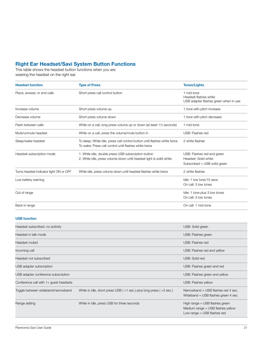#### **Right Ear Headset/Savi System Button Functions**

This table shows the headset button functions when you are wearing the headset on the right ear.

| <b>Headset function</b>                 | <b>Type of Press</b>                                                                                                               | <b>Tones/Lights</b>                                                                |
|-----------------------------------------|------------------------------------------------------------------------------------------------------------------------------------|------------------------------------------------------------------------------------|
| Place, answer, or end calls             | Short press call control button                                                                                                    | 1 mid-tone<br>Headset flashes white<br>USB adapter flashes green when in use       |
| Increase volume                         | Short press volume up                                                                                                              | 1 tone with pitch increase                                                         |
| Decrease volume                         | Short press volume down                                                                                                            | 1 tone with pitch decrease                                                         |
| Flash between calls                     | While on a call, long press volume up or down (at least 1 <sup>1</sup> / <sub>2</sub> seconds)                                     | 1 mid-tone                                                                         |
| Mute/unmute headset                     | While on a call, press the volume/mute button in                                                                                   | USB: Flashes red                                                                   |
| Sleep/wake headset                      | To sleep: While idle, press call control button until flashes white twice<br>To wake: Press call control until flashes white twice | 2 white flashes                                                                    |
| Headset subscription mode               | 1. While idle, double press USB subscription button<br>2. While idle, press volume down until headset light is solid white         | USB: Flashes red and green<br>Headset: Solid white<br>Subscribed = USB solid green |
| Turns headset indicator light ON or OFF | While idle, press volume down until headset flashes white twice                                                                    | 2 white flashes                                                                    |
| Low battery warning                     |                                                                                                                                    | Idle: 1 low tone/15 secs<br>On call: 3 low tones                                   |
| Out of range                            |                                                                                                                                    | Idle: 1 tone plus 3 low tones<br>On call: 3 low tones                              |
| Back in range                           |                                                                                                                                    | On call: 1 mid-tone                                                                |

#### **USB function**

| Headset subscribed, no actiivity       |                                                                            | USB: Solid green                                                                                         |
|----------------------------------------|----------------------------------------------------------------------------|----------------------------------------------------------------------------------------------------------|
| Headset in talk mode                   |                                                                            | USB: Flashes green                                                                                       |
| Headset muted                          |                                                                            | USB: Flashes red                                                                                         |
| Incoming call                          |                                                                            | USB: Flashes red and yellow                                                                              |
| Headset not subscribed                 |                                                                            | USB: Solid red                                                                                           |
| USB adapter subscription               |                                                                            | USB: Flashes green and red                                                                               |
| USB adapter conference subscription    |                                                                            | USB: Flashes green and yellow                                                                            |
| Conference call with 1+ guest headsets |                                                                            | USB: Flashes yellow                                                                                      |
| Toggle between wideband/narrowband     | While in idle, short press USB ( $<$ 1 sec.) plus long press ( $>$ 3 sec.) | Narrowband = USB flashes red 4 sec.<br>Wideband = USB flashes green 4 sec.                               |
| Range setting                          | While in idle, press USB for three seconds                                 | High range $=$ USB flashes green<br>Medium range $=$ USB flashes yellow<br>Low range $=$ USB flashes red |